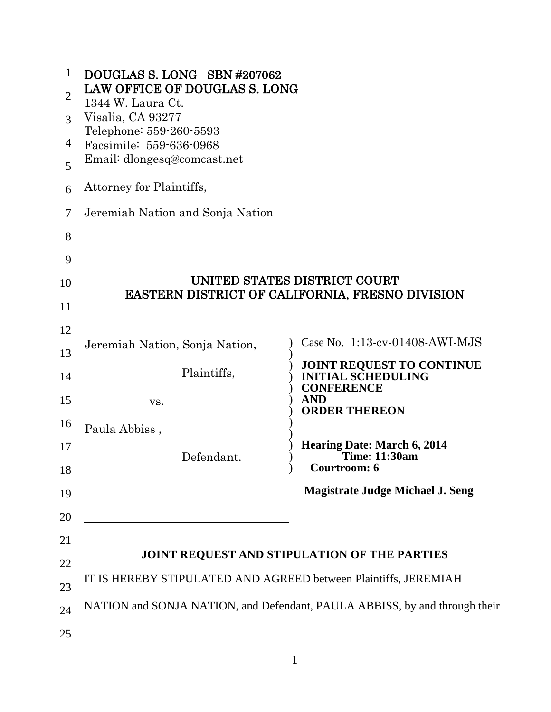| $\mathbf{1}$<br>$\overline{2}$<br>3<br>4<br>5 | DOUGLAS S. LONG SBN #207062<br>LAW OFFICE OF DOUGLAS S. LONG<br>1344 W. Laura Ct.<br>Visalia, CA 93277<br>Telephone: 559-260-5593<br>Facsimile: 559-636-0968<br>Email: dlongesq@comcast.net<br>Attorney for Plaintiffs, |                                                                                 |
|-----------------------------------------------|-------------------------------------------------------------------------------------------------------------------------------------------------------------------------------------------------------------------------|---------------------------------------------------------------------------------|
| 6                                             |                                                                                                                                                                                                                         |                                                                                 |
| $\overline{7}$                                | Jeremiah Nation and Sonja Nation                                                                                                                                                                                        |                                                                                 |
| 8                                             |                                                                                                                                                                                                                         |                                                                                 |
| 9                                             |                                                                                                                                                                                                                         |                                                                                 |
| 10                                            |                                                                                                                                                                                                                         | UNITED STATES DISTRICT COURT<br>EASTERN DISTRICT OF CALIFORNIA, FRESNO DIVISION |
| 11                                            |                                                                                                                                                                                                                         |                                                                                 |
| 12                                            |                                                                                                                                                                                                                         |                                                                                 |
| 13                                            | Jeremiah Nation, Sonja Nation,                                                                                                                                                                                          | Case No. 1:13-cv-01408-AWI-MJS                                                  |
| 14                                            | Plaintiffs,                                                                                                                                                                                                             | JOINT REQUEST TO CONTINUE<br><b>INITIAL SCHEDULING</b><br><b>CONFERENCE</b>     |
| 15                                            | VS.                                                                                                                                                                                                                     | <b>AND</b><br><b>ORDER THEREON</b>                                              |
| 16                                            | Paula Abbiss,                                                                                                                                                                                                           |                                                                                 |
| 17                                            |                                                                                                                                                                                                                         | <b>Hearing Date: March 6, 2014</b>                                              |
| 18                                            | Defendant.                                                                                                                                                                                                              | <b>Time: 11:30am</b><br>Courtroom: 6                                            |
| 19                                            |                                                                                                                                                                                                                         | <b>Magistrate Judge Michael J. Seng</b>                                         |
| 20                                            |                                                                                                                                                                                                                         |                                                                                 |
| 21                                            |                                                                                                                                                                                                                         |                                                                                 |
| 22                                            |                                                                                                                                                                                                                         | JOINT REQUEST AND STIPULATION OF THE PARTIES                                    |
| 23                                            | IT IS HEREBY STIPULATED AND AGREED between Plaintiffs, JEREMIAH                                                                                                                                                         |                                                                                 |
|                                               | NATION and SONJA NATION, and Defendant, PAULA ABBISS, by and through their                                                                                                                                              |                                                                                 |
| 24                                            |                                                                                                                                                                                                                         |                                                                                 |
| 25                                            |                                                                                                                                                                                                                         |                                                                                 |
|                                               |                                                                                                                                                                                                                         | 1                                                                               |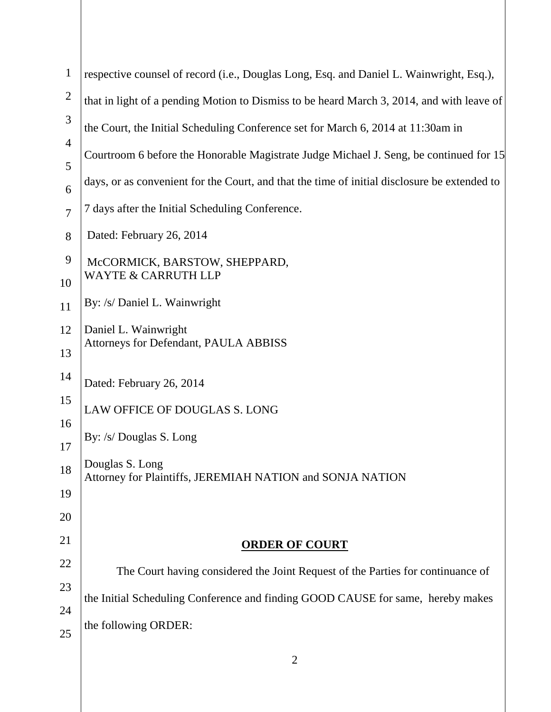| $\mathbf{1}$        | respective counsel of record (i.e., Douglas Long, Esq. and Daniel L. Wainwright, Esq.),      |  |
|---------------------|----------------------------------------------------------------------------------------------|--|
| $\overline{2}$      | that in light of a pending Motion to Dismiss to be heard March 3, 2014, and with leave of    |  |
| 3                   | the Court, the Initial Scheduling Conference set for March 6, 2014 at 11:30am in             |  |
| $\overline{4}$<br>5 | Courtroom 6 before the Honorable Magistrate Judge Michael J. Seng, be continued for 15       |  |
| 6                   | days, or as convenient for the Court, and that the time of initial disclosure be extended to |  |
| $\overline{7}$      | 7 days after the Initial Scheduling Conference.                                              |  |
| 8                   | Dated: February 26, 2014                                                                     |  |
| 9                   | McCORMICK, BARSTOW, SHEPPARD,                                                                |  |
| 10                  | <b>WAYTE &amp; CARRUTH LLP</b>                                                               |  |
| 11                  | By: /s/ Daniel L. Wainwright                                                                 |  |
| 12                  | Daniel L. Wainwright<br>Attorneys for Defendant, PAULA ABBISS                                |  |
| 13                  |                                                                                              |  |
| 14                  | Dated: February 26, 2014                                                                     |  |
| 15                  | LAW OFFICE OF DOUGLAS S. LONG                                                                |  |
| 16                  | By: /s/ Douglas S. Long                                                                      |  |
| 17                  |                                                                                              |  |
| 18                  | Douglas S. Long<br>Attorney for Plaintiffs, JEREMIAH NATION and SONJA NATION                 |  |
| 19                  |                                                                                              |  |
| 20                  |                                                                                              |  |
| 21                  | <b>ORDER OF COURT</b>                                                                        |  |
| 22                  | The Court having considered the Joint Request of the Parties for continuance of              |  |
| 23                  |                                                                                              |  |
| 24                  | the Initial Scheduling Conference and finding GOOD CAUSE for same, hereby makes              |  |
| 25                  | the following ORDER:                                                                         |  |
|                     | $\overline{2}$                                                                               |  |